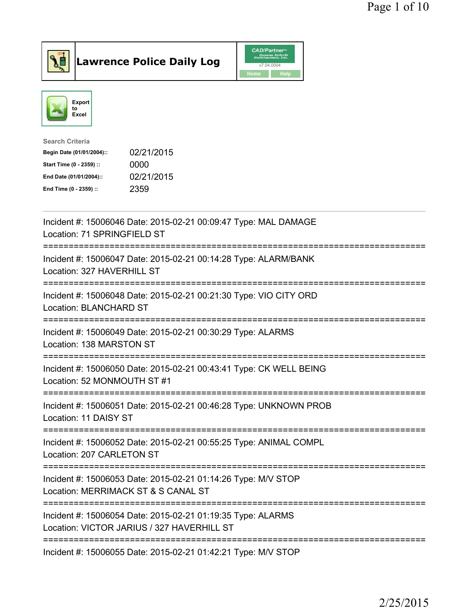



| <b>Search Criteria</b>    |            |
|---------------------------|------------|
| Begin Date (01/01/2004):: | 02/21/2015 |
| Start Time (0 - 2359) ::  | 0000       |
| End Date (01/01/2004)::   | 02/21/2015 |
| End Time (0 - 2359) ::    | 2359       |
|                           |            |

| Incident #: 15006046 Date: 2015-02-21 00:09:47 Type: MAL DAMAGE<br>Location: 71 SPRINGFIELD ST                        |
|-----------------------------------------------------------------------------------------------------------------------|
| Incident #: 15006047 Date: 2015-02-21 00:14:28 Type: ALARM/BANK<br>Location: 327 HAVERHILL ST                         |
| Incident #: 15006048 Date: 2015-02-21 00:21:30 Type: VIO CITY ORD<br><b>Location: BLANCHARD ST</b><br>--------------- |
| Incident #: 15006049 Date: 2015-02-21 00:30:29 Type: ALARMS<br>Location: 138 MARSTON ST                               |
| Incident #: 15006050 Date: 2015-02-21 00:43:41 Type: CK WELL BEING<br>Location: 52 MONMOUTH ST #1                     |
| Incident #: 15006051 Date: 2015-02-21 00:46:28 Type: UNKNOWN PROB<br>Location: 11 DAISY ST                            |
| Incident #: 15006052 Date: 2015-02-21 00:55:25 Type: ANIMAL COMPL<br>Location: 207 CARLETON ST                        |
| Incident #: 15006053 Date: 2015-02-21 01:14:26 Type: M/V STOP<br>Location: MERRIMACK ST & S CANAL ST                  |
| Incident #: 15006054 Date: 2015-02-21 01:19:35 Type: ALARMS<br>Location: VICTOR JARIUS / 327 HAVERHILL ST             |
| ----------------------------------<br>Incident #: 15006055 Date: 2015-02-21 01:42:21 Type: M/V STOP                   |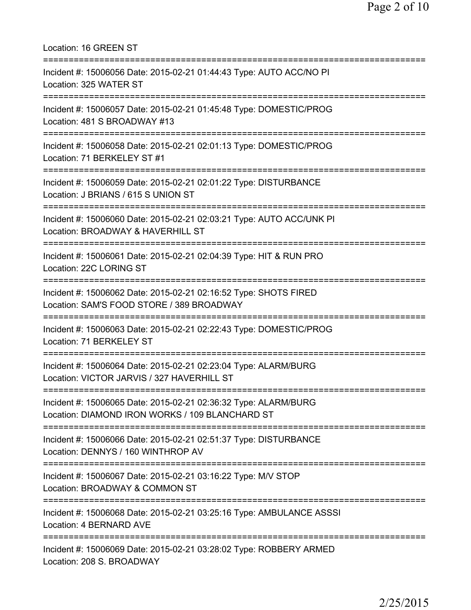| Location: 16 GREEN ST                                                                                                                        |
|----------------------------------------------------------------------------------------------------------------------------------------------|
| Incident #: 15006056 Date: 2015-02-21 01:44:43 Type: AUTO ACC/NO PI<br>Location: 325 WATER ST                                                |
| Incident #: 15006057 Date: 2015-02-21 01:45:48 Type: DOMESTIC/PROG<br>Location: 481 S BROADWAY #13                                           |
| Incident #: 15006058 Date: 2015-02-21 02:01:13 Type: DOMESTIC/PROG<br>Location: 71 BERKELEY ST #1                                            |
| Incident #: 15006059 Date: 2015-02-21 02:01:22 Type: DISTURBANCE<br>Location: J BRIANS / 615 S UNION ST                                      |
| Incident #: 15006060 Date: 2015-02-21 02:03:21 Type: AUTO ACC/UNK PI<br>Location: BROADWAY & HAVERHILL ST                                    |
| Incident #: 15006061 Date: 2015-02-21 02:04:39 Type: HIT & RUN PRO<br>Location: 22C LORING ST                                                |
| Incident #: 15006062 Date: 2015-02-21 02:16:52 Type: SHOTS FIRED<br>Location: SAM'S FOOD STORE / 389 BROADWAY<br>--------------------------- |
| Incident #: 15006063 Date: 2015-02-21 02:22:43 Type: DOMESTIC/PROG<br>Location: 71 BERKELEY ST                                               |
| Incident #: 15006064 Date: 2015-02-21 02:23:04 Type: ALARM/BURG<br>Location: VICTOR JARVIS / 327 HAVERHILL ST                                |
| Incident #: 15006065 Date: 2015-02-21 02:36:32 Type: ALARM/BURG<br>Location: DIAMOND IRON WORKS / 109 BLANCHARD ST                           |
| Incident #: 15006066 Date: 2015-02-21 02:51:37 Type: DISTURBANCE<br>Location: DENNYS / 160 WINTHROP AV                                       |
| Incident #: 15006067 Date: 2015-02-21 03:16:22 Type: M/V STOP<br>Location: BROADWAY & COMMON ST                                              |
| Incident #: 15006068 Date: 2015-02-21 03:25:16 Type: AMBULANCE ASSSI<br>Location: 4 BERNARD AVE                                              |
| Incident #: 15006069 Date: 2015-02-21 03:28:02 Type: ROBBERY ARMED<br>Location: 208 S. BROADWAY                                              |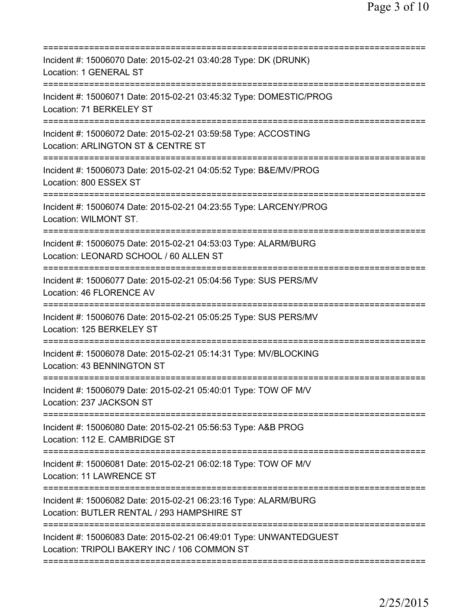| Incident #: 15006070 Date: 2015-02-21 03:40:28 Type: DK (DRUNK)<br>Location: 1 GENERAL ST                          |
|--------------------------------------------------------------------------------------------------------------------|
| Incident #: 15006071 Date: 2015-02-21 03:45:32 Type: DOMESTIC/PROG<br>Location: 71 BERKELEY ST                     |
| Incident #: 15006072 Date: 2015-02-21 03:59:58 Type: ACCOSTING<br>Location: ARLINGTON ST & CENTRE ST               |
| Incident #: 15006073 Date: 2015-02-21 04:05:52 Type: B&E/MV/PROG<br>Location: 800 ESSEX ST                         |
| Incident #: 15006074 Date: 2015-02-21 04:23:55 Type: LARCENY/PROG<br>Location: WILMONT ST.                         |
| Incident #: 15006075 Date: 2015-02-21 04:53:03 Type: ALARM/BURG<br>Location: LEONARD SCHOOL / 60 ALLEN ST          |
| Incident #: 15006077 Date: 2015-02-21 05:04:56 Type: SUS PERS/MV<br>Location: 46 FLORENCE AV                       |
| Incident #: 15006076 Date: 2015-02-21 05:05:25 Type: SUS PERS/MV<br>Location: 125 BERKELEY ST                      |
| Incident #: 15006078 Date: 2015-02-21 05:14:31 Type: MV/BLOCKING<br>Location: 43 BENNINGTON ST                     |
| Incident #: 15006079 Date: 2015-02-21 05:40:01 Type: TOW OF M/V<br>Location: 237 JACKSON ST                        |
| Incident #: 15006080 Date: 2015-02-21 05:56:53 Type: A&B PROG<br>Location: 112 E. CAMBRIDGE ST                     |
| Incident #: 15006081 Date: 2015-02-21 06:02:18 Type: TOW OF M/V<br>Location: 11 LAWRENCE ST                        |
| Incident #: 15006082 Date: 2015-02-21 06:23:16 Type: ALARM/BURG<br>Location: BUTLER RENTAL / 293 HAMPSHIRE ST      |
| Incident #: 15006083 Date: 2015-02-21 06:49:01 Type: UNWANTEDGUEST<br>Location: TRIPOLI BAKERY INC / 106 COMMON ST |
|                                                                                                                    |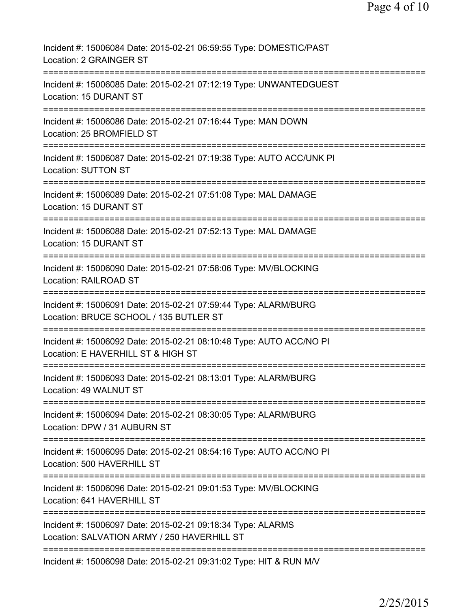| Incident #: 15006084 Date: 2015-02-21 06:59:55 Type: DOMESTIC/PAST<br>Location: 2 GRAINGER ST                                           |
|-----------------------------------------------------------------------------------------------------------------------------------------|
| Incident #: 15006085 Date: 2015-02-21 07:12:19 Type: UNWANTEDGUEST<br>Location: 15 DURANT ST                                            |
| Incident #: 15006086 Date: 2015-02-21 07:16:44 Type: MAN DOWN<br>Location: 25 BROMFIELD ST                                              |
| Incident #: 15006087 Date: 2015-02-21 07:19:38 Type: AUTO ACC/UNK PI<br>Location: SUTTON ST                                             |
| Incident #: 15006089 Date: 2015-02-21 07:51:08 Type: MAL DAMAGE<br>Location: 15 DURANT ST<br>==============                             |
| Incident #: 15006088 Date: 2015-02-21 07:52:13 Type: MAL DAMAGE<br>Location: 15 DURANT ST                                               |
| Incident #: 15006090 Date: 2015-02-21 07:58:06 Type: MV/BLOCKING<br><b>Location: RAILROAD ST</b><br>:================================== |
| Incident #: 15006091 Date: 2015-02-21 07:59:44 Type: ALARM/BURG<br>Location: BRUCE SCHOOL / 135 BUTLER ST                               |
| =========================<br>Incident #: 15006092 Date: 2015-02-21 08:10:48 Type: AUTO ACC/NO PI<br>Location: E HAVERHILL ST & HIGH ST  |
| Incident #: 15006093 Date: 2015-02-21 08:13:01 Type: ALARM/BURG<br>Location: 49 WALNUT ST                                               |
| Incident #: 15006094 Date: 2015-02-21 08:30:05 Type: ALARM/BURG<br>Location: DPW / 31 AUBURN ST                                         |
| Incident #: 15006095 Date: 2015-02-21 08:54:16 Type: AUTO ACC/NO PI<br>Location: 500 HAVERHILL ST                                       |
| Incident #: 15006096 Date: 2015-02-21 09:01:53 Type: MV/BLOCKING<br>Location: 641 HAVERHILL ST                                          |
| Incident #: 15006097 Date: 2015-02-21 09:18:34 Type: ALARMS<br>Location: SALVATION ARMY / 250 HAVERHILL ST                              |
| Incident #: 15006098 Date: 2015-02-21 09:31:02 Type: HIT & RUN M/V                                                                      |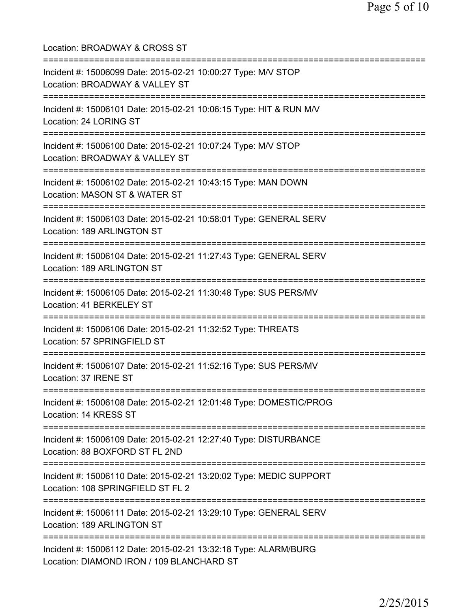Location: BROADWAY & CROSS ST =========================================================================== Incident #: 15006099 Date: 2015-02-21 10:00:27 Type: M/V STOP Location: BROADWAY & VALLEY ST =========================================================================== Incident #: 15006101 Date: 2015-02-21 10:06:15 Type: HIT & RUN M/V Location: 24 LORING ST =========================================================================== Incident #: 15006100 Date: 2015-02-21 10:07:24 Type: M/V STOP Location: BROADWAY & VALLEY ST =========================================================================== Incident #: 15006102 Date: 2015-02-21 10:43:15 Type: MAN DOWN Location: MASON ST & WATER ST =========================================================================== Incident #: 15006103 Date: 2015-02-21 10:58:01 Type: GENERAL SERV Location: 189 ARLINGTON ST =========================================================================== Incident #: 15006104 Date: 2015-02-21 11:27:43 Type: GENERAL SERV Location: 189 ARLINGTON ST =========================================================================== Incident #: 15006105 Date: 2015-02-21 11:30:48 Type: SUS PERS/MV Location: 41 BERKELEY ST =========================================================================== Incident #: 15006106 Date: 2015-02-21 11:32:52 Type: THREATS Location: 57 SPRINGFIELD ST =========================================================================== Incident #: 15006107 Date: 2015-02-21 11:52:16 Type: SUS PERS/MV Location: 37 IRENE ST =========================================================================== Incident #: 15006108 Date: 2015-02-21 12:01:48 Type: DOMESTIC/PROG Location: 14 KRESS ST =========================================================================== Incident #: 15006109 Date: 2015-02-21 12:27:40 Type: DISTURBANCE Location: 88 BOXFORD ST FL 2ND =========================================================================== Incident #: 15006110 Date: 2015-02-21 13:20:02 Type: MEDIC SUPPORT Location: 108 SPRINGFIELD ST FL 2 =========================================================================== Incident #: 15006111 Date: 2015-02-21 13:29:10 Type: GENERAL SERV Location: 189 ARLINGTON ST =========================================================================== Incident #: 15006112 Date: 2015-02-21 13:32:18 Type: ALARM/BURG Location: DIAMOND IRON / 109 BLANCHARD ST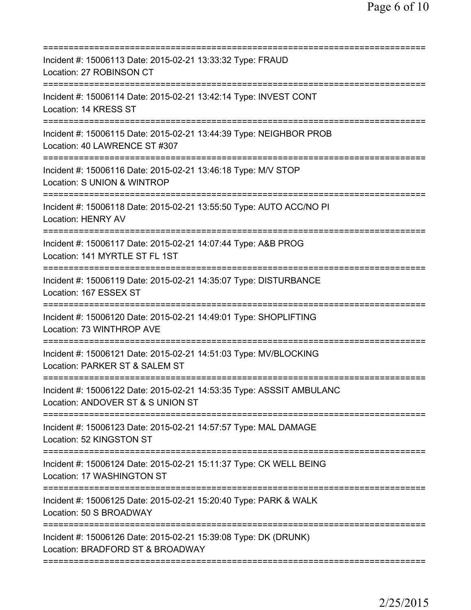| =========================                                                                                                             |
|---------------------------------------------------------------------------------------------------------------------------------------|
| Incident #: 15006113 Date: 2015-02-21 13:33:32 Type: FRAUD<br>Location: 27 ROBINSON CT                                                |
| Incident #: 15006114 Date: 2015-02-21 13:42:14 Type: INVEST CONT<br>Location: 14 KRESS ST                                             |
| Incident #: 15006115 Date: 2015-02-21 13:44:39 Type: NEIGHBOR PROB<br>Location: 40 LAWRENCE ST #307                                   |
| Incident #: 15006116 Date: 2015-02-21 13:46:18 Type: M/V STOP<br>Location: S UNION & WINTROP                                          |
| Incident #: 15006118 Date: 2015-02-21 13:55:50 Type: AUTO ACC/NO PI<br><b>Location: HENRY AV</b>                                      |
| Incident #: 15006117 Date: 2015-02-21 14:07:44 Type: A&B PROG<br>Location: 141 MYRTLE ST FL 1ST                                       |
| Incident #: 15006119 Date: 2015-02-21 14:35:07 Type: DISTURBANCE<br>Location: 167 ESSEX ST<br>---------                               |
| Incident #: 15006120 Date: 2015-02-21 14:49:01 Type: SHOPLIFTING<br>Location: 73 WINTHROP AVE<br>==================================== |
| Incident #: 15006121 Date: 2015-02-21 14:51:03 Type: MV/BLOCKING<br>Location: PARKER ST & SALEM ST                                    |
| Incident #: 15006122 Date: 2015-02-21 14:53:35 Type: ASSSIT AMBULANC<br>Location: ANDOVER ST & S UNION ST                             |
| Incident #: 15006123 Date: 2015-02-21 14:57:57 Type: MAL DAMAGE<br>Location: 52 KINGSTON ST                                           |
| Incident #: 15006124 Date: 2015-02-21 15:11:37 Type: CK WELL BEING<br>Location: 17 WASHINGTON ST                                      |
| Incident #: 15006125 Date: 2015-02-21 15:20:40 Type: PARK & WALK<br>Location: 50 S BROADWAY                                           |
| Incident #: 15006126 Date: 2015-02-21 15:39:08 Type: DK (DRUNK)<br>Location: BRADFORD ST & BROADWAY                                   |
|                                                                                                                                       |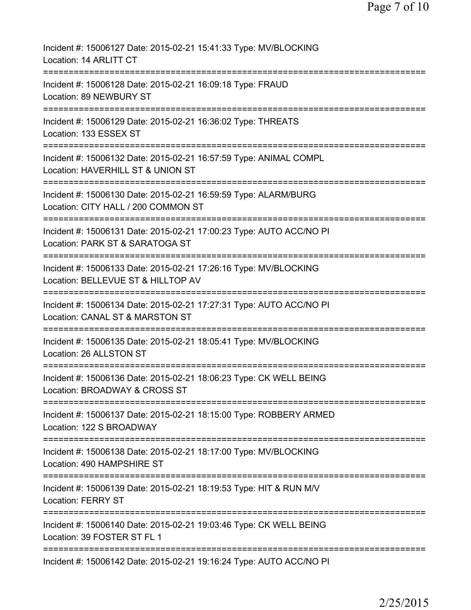Page 7 of 10

Incident #: 15006127 Date: 2015-02-21 15:41:33 Type: MV/BLOCKING Location: 14 ARLITT CT =========================================================================== Incident #: 15006128 Date: 2015-02-21 16:09:18 Type: FRAUD Location: 89 NEWBURY ST =========================================================================== Incident #: 15006129 Date: 2015-02-21 16:36:02 Type: THREATS Location: 133 ESSEX ST =========================================================================== Incident #: 15006132 Date: 2015-02-21 16:57:59 Type: ANIMAL COMPL Location: HAVERHILL ST & UNION ST =========================================================================== Incident #: 15006130 Date: 2015-02-21 16:59:59 Type: ALARM/BURG Location: CITY HALL / 200 COMMON ST =========================================================================== Incident #: 15006131 Date: 2015-02-21 17:00:23 Type: AUTO ACC/NO PI Location: PARK ST & SARATOGA ST =========================================================================== Incident #: 15006133 Date: 2015-02-21 17:26:16 Type: MV/BLOCKING Location: BELLEVUE ST & HILLTOP AV =========================================================================== Incident #: 15006134 Date: 2015-02-21 17:27:31 Type: AUTO ACC/NO PI Location: CANAL ST & MARSTON ST =========================================================================== Incident #: 15006135 Date: 2015-02-21 18:05:41 Type: MV/BLOCKING Location: 26 ALLSTON ST =========================================================================== Incident #: 15006136 Date: 2015-02-21 18:06:23 Type: CK WELL BEING Location: BROADWAY & CROSS ST =========================================================================== Incident #: 15006137 Date: 2015-02-21 18:15:00 Type: ROBBERY ARMED Location: 122 S BROADWAY =========================================================================== Incident #: 15006138 Date: 2015-02-21 18:17:00 Type: MV/BLOCKING Location: 490 HAMPSHIRE ST =========================================================================== Incident #: 15006139 Date: 2015-02-21 18:19:53 Type: HIT & RUN M/V Location: FERRY ST =========================================================================== Incident #: 15006140 Date: 2015-02-21 19:03:46 Type: CK WELL BEING Location: 39 FOSTER ST FL 1 =========================================================================== Incident #: 15006142 Date: 2015-02-21 19:16:24 Type: AUTO ACC/NO PI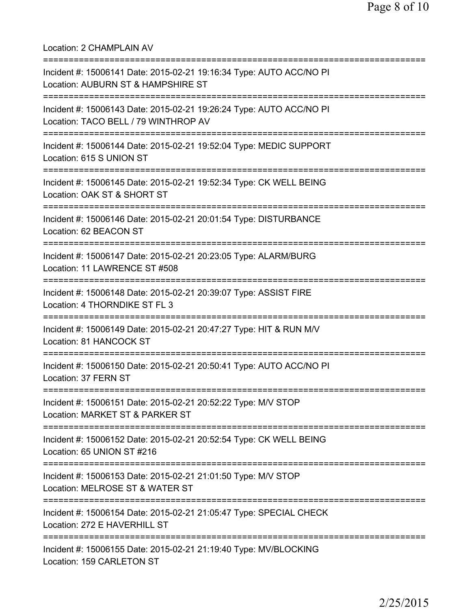Location: 2 CHAMPLAIN AV =========================================================================== Incident #: 15006141 Date: 2015-02-21 19:16:34 Type: AUTO ACC/NO PI Location: AUBURN ST & HAMPSHIRE ST =========================================================================== Incident #: 15006143 Date: 2015-02-21 19:26:24 Type: AUTO ACC/NO PI Location: TACO BELL / 79 WINTHROP AV =========================================================================== Incident #: 15006144 Date: 2015-02-21 19:52:04 Type: MEDIC SUPPORT Location: 615 S UNION ST =========================================================================== Incident #: 15006145 Date: 2015-02-21 19:52:34 Type: CK WELL BEING Location: OAK ST & SHORT ST =========================================================================== Incident #: 15006146 Date: 2015-02-21 20:01:54 Type: DISTURBANCE Location: 62 BEACON ST =========================================================================== Incident #: 15006147 Date: 2015-02-21 20:23:05 Type: ALARM/BURG Location: 11 LAWRENCE ST #508 =========================================================================== Incident #: 15006148 Date: 2015-02-21 20:39:07 Type: ASSIST FIRE Location: 4 THORNDIKE ST FL 3 =========================================================================== Incident #: 15006149 Date: 2015-02-21 20:47:27 Type: HIT & RUN M/V Location: 81 HANCOCK ST =========================================================================== Incident #: 15006150 Date: 2015-02-21 20:50:41 Type: AUTO ACC/NO PI Location: 37 FERN ST =========================================================================== Incident #: 15006151 Date: 2015-02-21 20:52:22 Type: M/V STOP Location: MARKET ST & PARKER ST =========================================================================== Incident #: 15006152 Date: 2015-02-21 20:52:54 Type: CK WELL BEING Location: 65 UNION ST #216 =========================================================================== Incident #: 15006153 Date: 2015-02-21 21:01:50 Type: M/V STOP Location: MELROSE ST & WATER ST =========================================================================== Incident #: 15006154 Date: 2015-02-21 21:05:47 Type: SPECIAL CHECK Location: 272 E HAVERHILL ST =========================================================================== Incident #: 15006155 Date: 2015-02-21 21:19:40 Type: MV/BLOCKING Location: 159 CARLETON ST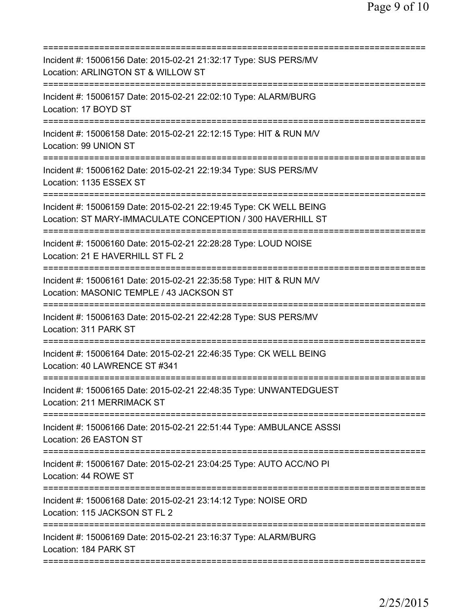| Incident #: 15006156 Date: 2015-02-21 21:32:17 Type: SUS PERS/MV<br>Location: ARLINGTON ST & WILLOW ST                           |
|----------------------------------------------------------------------------------------------------------------------------------|
| Incident #: 15006157 Date: 2015-02-21 22:02:10 Type: ALARM/BURG<br>Location: 17 BOYD ST                                          |
| Incident #: 15006158 Date: 2015-02-21 22:12:15 Type: HIT & RUN M/V<br>Location: 99 UNION ST                                      |
| Incident #: 15006162 Date: 2015-02-21 22:19:34 Type: SUS PERS/MV<br>Location: 1135 ESSEX ST                                      |
| Incident #: 15006159 Date: 2015-02-21 22:19:45 Type: CK WELL BEING<br>Location: ST MARY-IMMACULATE CONCEPTION / 300 HAVERHILL ST |
| Incident #: 15006160 Date: 2015-02-21 22:28:28 Type: LOUD NOISE<br>Location: 21 E HAVERHILL ST FL 2                              |
| Incident #: 15006161 Date: 2015-02-21 22:35:58 Type: HIT & RUN M/V<br>Location: MASONIC TEMPLE / 43 JACKSON ST                   |
| Incident #: 15006163 Date: 2015-02-21 22:42:28 Type: SUS PERS/MV<br>Location: 311 PARK ST                                        |
| Incident #: 15006164 Date: 2015-02-21 22:46:35 Type: CK WELL BEING<br>Location: 40 LAWRENCE ST #341                              |
| Incident #: 15006165 Date: 2015-02-21 22:48:35 Type: UNWANTEDGUEST<br>Location: 211 MERRIMACK ST                                 |
| Incident #: 15006166 Date: 2015-02-21 22:51:44 Type: AMBULANCE ASSSI<br>Location: 26 EASTON ST                                   |
| Incident #: 15006167 Date: 2015-02-21 23:04:25 Type: AUTO ACC/NO PI<br>Location: 44 ROWE ST                                      |
| Incident #: 15006168 Date: 2015-02-21 23:14:12 Type: NOISE ORD<br>Location: 115 JACKSON ST FL 2                                  |
| Incident #: 15006169 Date: 2015-02-21 23:16:37 Type: ALARM/BURG<br>Location: 184 PARK ST                                         |
|                                                                                                                                  |